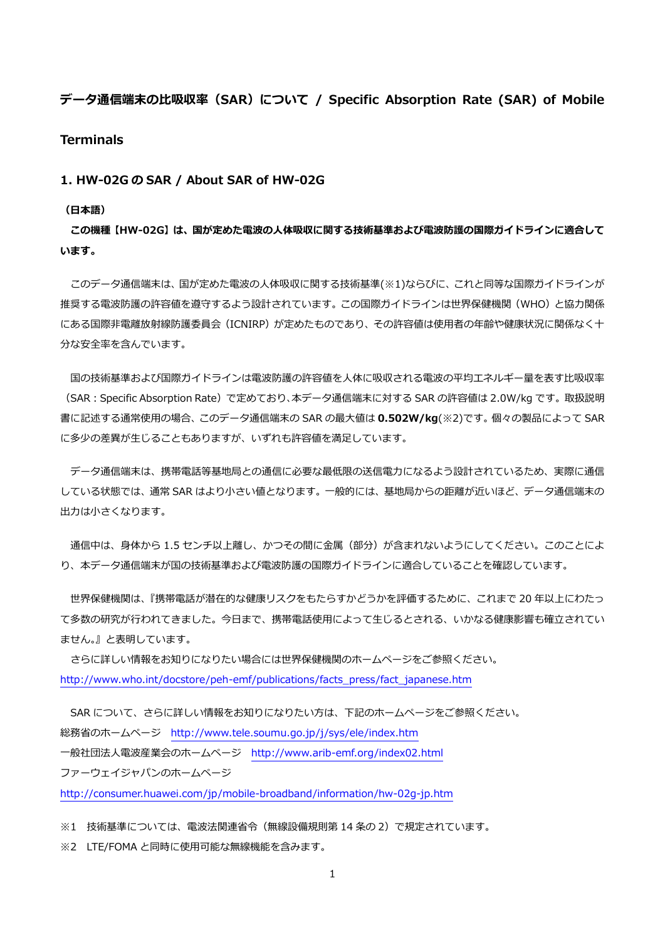# データ通信端末の比吸収率 (SAR) について / Specific Absorption Rate (SAR) of Mobile

# **Terminals**

### 1. HW-02G の SAR / About SAR of HW-02G

#### (日本語)

この機種【HW-02G】は、国が定めた電波の人体吸収に関する技術基準および電波防護の国際ガイドラインに適合して います。

このデータ通信端末は、国が定めた電波の人体吸収に関する技術基準(※1)ならびに、これと同等な国際ガイドラインが 推奨する電波防護の許容値を遵守するよう設計されています。この国際ガイドラインは世界保健機関(WHO)と協力関係 にある国際非電離放射線防護委員会(ICNIRP)が定めたものであり、その許容値は使用者の年齢や健康状況に関係なく十 分な安全率を含んでいます。

国の技術基準および国際ガイドラインは電波防護の許容値を人体に吸収される電波の平均エネルギー量を表す比吸収率 (SAR:Specific Absorption Rate)で定めており、本データ通信端末に対する SAR の許容値は 2.0W/kg です。取扱説明 書に記述する通常使用の場合、このデータ通信端末の SAR の最大値は 0.502W/kg(※2)です。個々の製品によって SAR に多少の差異が生じることもありますが、いずれも許容値を満足しています。

データ通信端末は、携帯電話等基地局との通信に必要な最低限の送信電力になるよう設計されているため、実際に通信 している状態では、通常 SAR はより小さい値となります。一般的には、基地局からの距離が近いほど、データ通信端末の 出力は小さくなります。

通信中は、身体から 1.5 センチ以上離し、かつその間に金属 (部分) が含まれないようにしてください。このことによ り、本データ通信端末が国の技術基準および電波防護の国際ガイドラインに適合していることを確認しています。

世界保健機関は、『携帯電話が潜在的な健康リスクをもたらすかどうかを評価するために、これまで 20 年以上にわたっ て多数の研究が行われてきました。今日まで、携帯電話使用によって生じるとされる、いかなる健康影響も確立されてい ません。』と表明しています。

さらに詳しい情報をお知りになりたい場合には世界保健機関のホームページをご参照ください。 [http://www.who.int/docstore/peh-emf/publications/facts\\_press/fact\\_japanese.htm](http://www.who.int/docstore/peh-emf/publications/facts_press/fact_japanese.htm)

SAR について、さらに詳しい情報をお知りになりたい方は、下記のホームページをご参照ください。 総務省のホームページ <http://www.tele.soumu.go.jp/j/sys/ele/index.htm> 一般社団法人電波産業会のホームページ <http://www.arib-emf.org/index02.html> ファーウェイジャパンのホームページ

<http://consumer.huawei.com/jp/mobile-broadband/information/hw-02g-jp.htm>

※1 技術基準については、電波法関連省令(無線設備規則第 14 条の 2)で規定されています。

※2 LTE/FOMA と同時に使用可能な無線機能を含みます。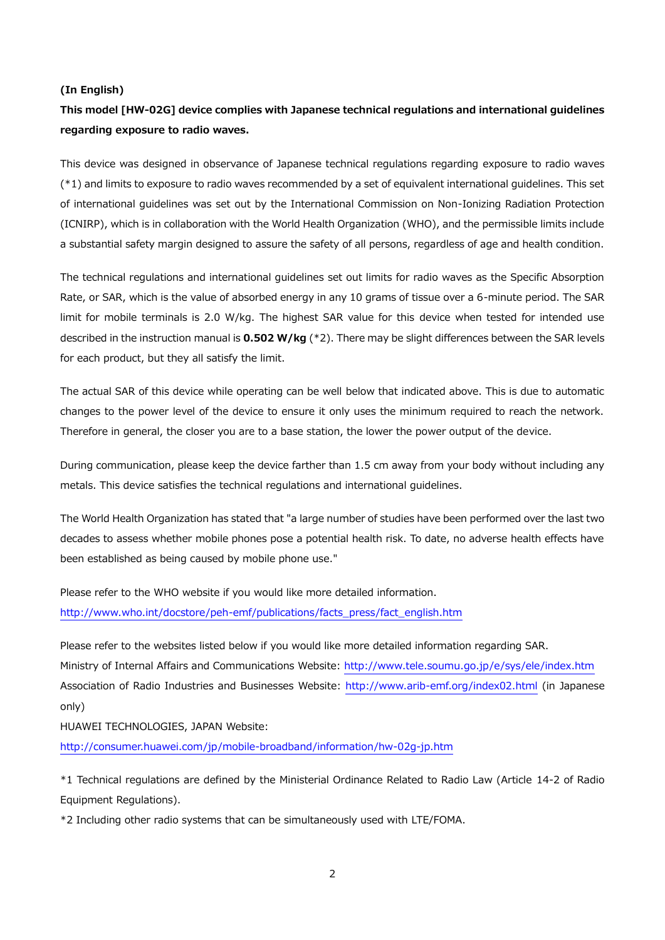#### (In English)

# This model [HW-02G] device complies with Japanese technical regulations and international guidelines regarding exposure to radio waves.

This device was designed in observance of Japanese technical regulations regarding exposure to radio waves (\*1) and limits to exposure to radio waves recommended by a set of equivalent international guidelines. This set of international guidelines was set out by the International Commission on Non-Ionizing Radiation Protection (ICNIRP), which is in collaboration with the World Health Organization (WHO), and the permissible limits include a substantial safety margin designed to assure the safety of all persons, regardless of age and health condition.

The technical regulations and international guidelines set out limits for radio waves as the Specific Absorption Rate, or SAR, which is the value of absorbed energy in any 10 grams of tissue over a 6-minute period. The SAR limit for mobile terminals is 2.0 W/kg. The highest SAR value for this device when tested for intended use described in the instruction manual is  $0.502$  W/kg ( $*2$ ). There may be slight differences between the SAR levels for each product, but they all satisfy the limit.

The actual SAR of this device while operating can be well below that indicated above. This is due to automatic changes to the power level of the device to ensure it only uses the minimum required to reach the network. Therefore in general, the closer you are to a base station, the lower the power output of the device.

During communication, please keep the device farther than 1.5 cm away from your body without including any metals. This device satisfies the technical regulations and international guidelines.

The World Health Organization has stated that "a large number of studies have been performed over the last two decades to assess whether mobile phones pose a potential health risk. To date, no adverse health effects have been established as being caused by mobile phone use."

Please refer to the WHO website if you would like more detailed information. [http://www.who.int/docstore/peh-emf/publications/facts\\_press/fact\\_english.htm](http://www.who.int/docstore/peh-emf/publications/facts_press/fact_english.htm)

Please refer to the websites listed below if you would like more detailed information regarding SAR. Ministry of Internal Affairs and Communications Website:<http://www.tele.soumu.go.jp/e/sys/ele/index.htm> Association of Radio Industries and Businesses Website:<http://www.arib-emf.org/index02.html> (in Japanese only)

HUAWEI TECHNOLOGIES, JAPAN Website:

<http://consumer.huawei.com/jp/mobile-broadband/information/hw-02g-jp.htm>

\*1 Technical regulations are defined by the Ministerial Ordinance Related to Radio Law (Article 14-2 of Radio Equipment Regulations).

\*2 Including other radio systems that can be simultaneously used with LTE/FOMA.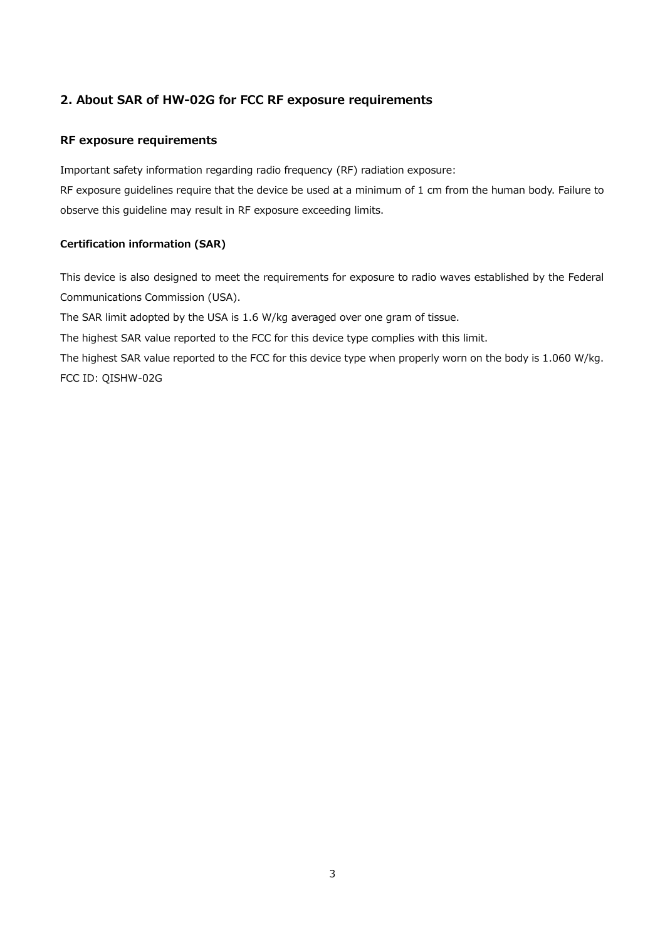# 2. About SAR of HW-02G for FCC RF exposure requirements

# RF exposure requirements

Important safety information regarding radio frequency (RF) radiation exposure:

RF exposure guidelines require that the device be used at a minimum of 1 cm from the human body. Failure to observe this guideline may result in RF exposure exceeding limits.

## Certification information (SAR)

This device is also designed to meet the requirements for exposure to radio waves established by the Federal Communications Commission (USA).

The SAR limit adopted by the USA is 1.6 W/kg averaged over one gram of tissue.

The highest SAR value reported to the FCC for this device type complies with this limit.

The highest SAR value reported to the FCC for this device type when properly worn on the body is 1.060 W/kg. FCC ID: QISHW-02G